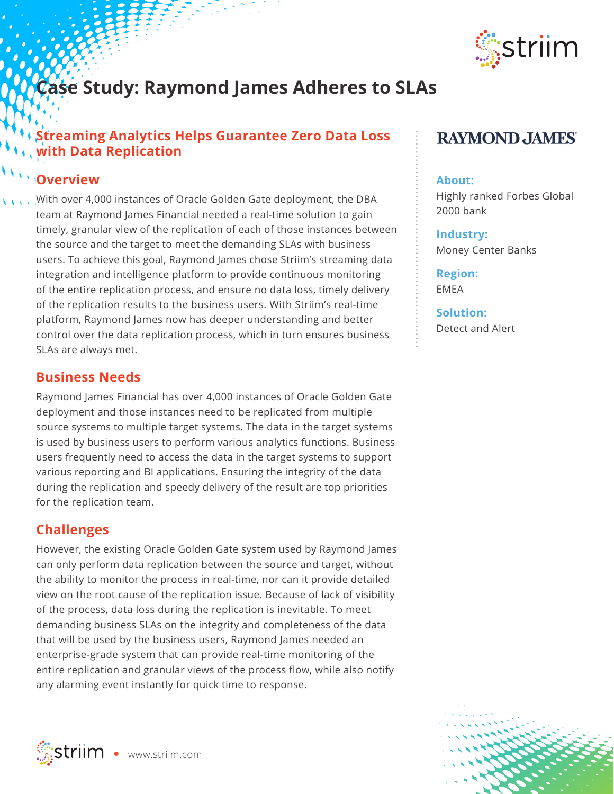

# **Case Study: Raymond James Adheres to SLAs**

## **Streaming Analytics Helps Guarantee Zero Data Loss with Data Replication**

## **Overview**

With over 4,000 instances of Oracle Golden Gate deployment, the DBA team at Raymond James Financial needed a real-time solution to gain timely, granular view of the replication of each of those instances between the source and the target to meet the demanding SLAs with business users. To achieve this goal, Raymond James chose Striim's streaming data integration and intelligence platform to provide continuous monitoring of the entire replication process, and ensure no data loss, timely delivery of the replication results to the business users. With Striim's real-time platform, Raymond James now has deeper understanding and better control over the data replication process, which in turn ensures business SLAs are always met.

#### **Business Needs**

Raymond James Financial has over 4,000 instances of Oracle Golden Gate deployment and those instances need to be replicated from multiple source systems to multiple target systems. The data in the target systems is used by business users to perform various analytics functions. Business users frequently need to access the data in the target systems to support various reporting and BI applications. Ensuring the integrity of the data during the replication and speedy delivery of the result are top priorities for the replication team.

### **Challenges**

However, the existing Oracle Golden Gate system used by Raymond James can only perform data replication between the source and target, without the ability to monitor the process in real-time, nor can it provide detailed view on the root cause of the replication issue. Because of lack of visibility of the process, data loss during the replication is inevitable. To meet demanding business SLAs on the integrity and completeness of the data that will be used by the business users, Raymond James needed an enterprise-grade system that can provide real-time monitoring of the entire replication and granular views of the process flow, while also notify any alarming event instantly for quick time to response.



#### **About:**

Highly ranked Forbes Global 2000 bank

**Industry:** Money Center Banks

**Region:**  EMEA

**Solution:** Detect and Alert